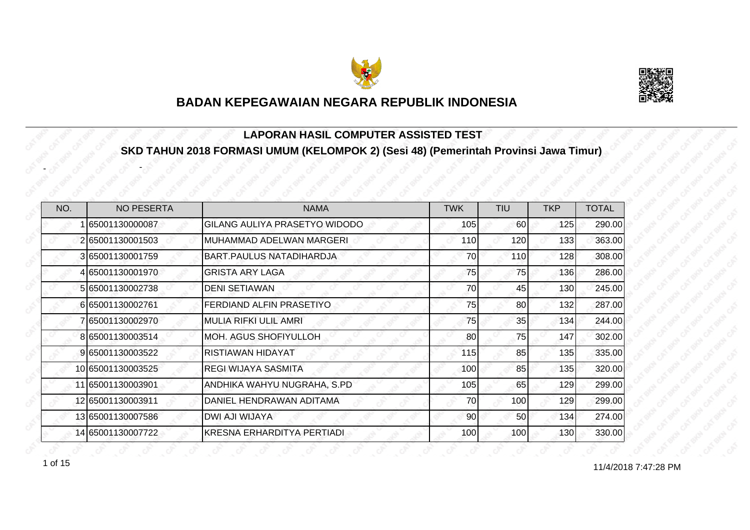



#### **LAPORAN HASIL COMPUTER ASSISTED TEST SKD TAHUN 2018 FORMASI UMUM (KELOMPOK 2) (Sesi 48) (Pemerintah Provinsi Jawa Timur)**

| NO. | <b>NO PESERTA</b> | <b>NAMA</b>                     | <b>TWK</b> | <b>TIU</b> | <b>TKP</b> | <b>TOTAL</b> |
|-----|-------------------|---------------------------------|------------|------------|------------|--------------|
|     | 65001130000087    | GILANG AULIYA PRASETYO WIDODO   | 105        | 60         | 125        | 290.00       |
|     | 265001130001503   | MUHAMMAD ADELWAN MARGERI        | 110        | 120        | 133        | 363.00       |
|     | 365001130001759   | <b>BART.PAULUS NATADIHARDJA</b> | 70         | 110        | 128        | 308.00       |
|     | 4 65001130001970  | <b>GRISTA ARY LAGA</b>          | 75         | 75         | 136        | 286.00       |
|     | 5 65001130002738  | <b>DENI SETIAWAN</b>            | 70         | 45         | 130        | 245.00       |
|     | 665001130002761   | FERDIAND ALFIN PRASETIYO        | 75         | 80         | 132        | 287.00       |
|     | 7 65001130002970  | <b>MULIA RIFKI ULIL AMRI</b>    | 75         | 35         | 134        | 244.00       |
|     | 8 65001130003514  | <b>MOH. AGUS SHOFIYULLOH</b>    | 80         | 75         | 147        | 302.00       |
|     | 9 65001130003522  | RISTIAWAN HIDAYAT               | 115        | 85         | 135        | 335.00       |
|     | 10 65001130003525 | <b>REGI WIJAYA SASMITA</b>      | 100        | 85         | 135        | 320.00       |
|     | 11 65001130003901 | ANDHIKA WAHYU NUGRAHA, S.PD     | 105        | 65         | 129        | 299.00       |
|     | 12 65001130003911 | DANIEL HENDRAWAN ADITAMA        | 70         | 100        | 129        | 299.00       |
|     | 13 65001130007586 | <b>DWI AJI WIJAYA</b>           | 90         | 50         | 134        | 274.00       |
|     | 14 65001130007722 | KRESNA ERHARDITYA PERTIADI      | 100        | 100        | 130        | 330.00       |

1 of 15

-

-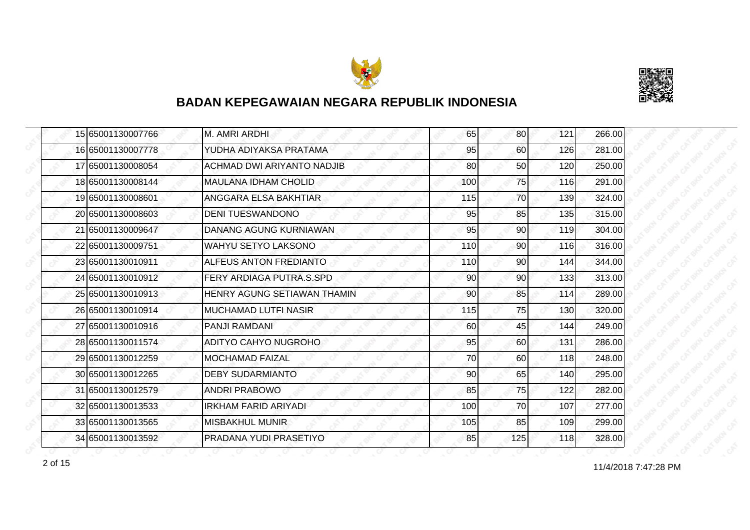



|  | 15 65001130007766 | M. AMRI ARDHI                     | 65  | 80              | 121 | 266.00 |
|--|-------------------|-----------------------------------|-----|-----------------|-----|--------|
|  | 16 65001130007778 | YUDHA ADIYAKSA PRATAMA            | 95  | 60              | 126 | 281.00 |
|  | 17 65001130008054 | <b>ACHMAD DWI ARIYANTO NADJIB</b> | 80  | 50              | 120 | 250.00 |
|  | 18 65001130008144 | <b>MAULANA IDHAM CHOLID</b>       | 100 | 75              | 116 | 291.00 |
|  | 19 65001130008601 | ANGGARA ELSA BAKHTIAR             | 115 | 70              | 139 | 324.00 |
|  | 20 65001130008603 | <b>DENI TUESWANDONO</b>           | 95  | 85              | 135 | 315.00 |
|  | 21 65001130009647 | DANANG AGUNG KURNIAWAN            | 95  | 90I             | 119 | 304.00 |
|  | 22 65001130009751 | <b>WAHYU SETYO LAKSONO</b>        | 110 | 90              | 116 | 316.00 |
|  | 23 65001130010911 | ALFEUS ANTON FREDIANTO            | 110 | 90              | 144 | 344.00 |
|  | 24 65001130010912 | FERY ARDIAGA PUTRA.S.SPD          | 90  | 90 <sub>l</sub> | 133 | 313.00 |
|  | 25 65001130010913 | HENRY AGUNG SETIAWAN THAMIN       | 90  | 85              | 114 | 289.00 |
|  | 26 65001130010914 | <b>MUCHAMAD LUTFI NASIR</b>       | 115 | 75              | 130 | 320.00 |
|  | 27 65001130010916 | <b>PANJI RAMDANI</b>              | 60  | 45              | 144 | 249.00 |
|  | 28 65001130011574 | ADITYO CAHYO NUGROHO              | 95  | 60              | 131 | 286.00 |
|  | 29 65001130012259 | <b>MOCHAMAD FAIZAL</b>            | 70  | 60              | 118 | 248.00 |
|  | 30 65001130012265 | <b>DEBY SUDARMIANTO</b>           | 90  | 65              | 140 | 295.00 |
|  | 31 65001130012579 | <b>ANDRI PRABOWO</b>              | 85  | 75              | 122 | 282.00 |
|  | 32165001130013533 | IRKHAM FARID ARIYADI              | 100 | 70              | 107 | 277.00 |
|  | 33 65001130013565 | <b>MISBAKHUL MUNIR</b>            | 105 | 85              | 109 | 299.00 |
|  | 34 65001130013592 | PRADANA YUDI PRASETIYO            | 85  | 125             | 118 | 328.00 |

11/4/2018 7:47:28 PM 2 of 15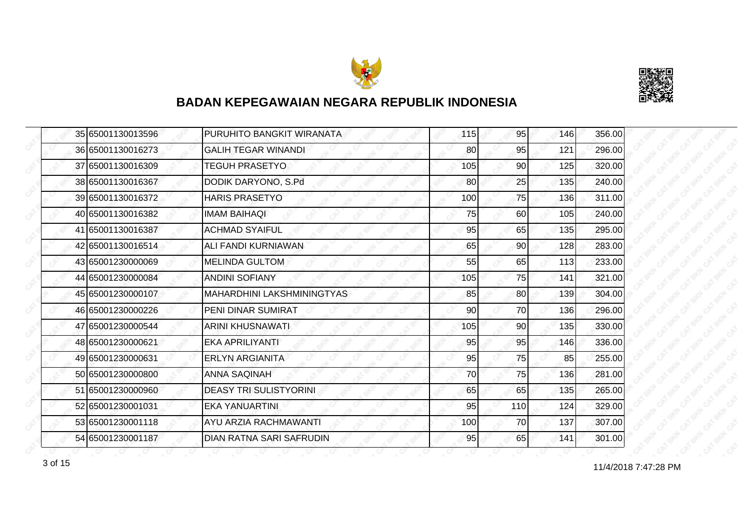



|  | 35 65001130013596 | PURUHITO BANGKIT WIRANATA       | 115 | 95  | 146 | 356.00 |
|--|-------------------|---------------------------------|-----|-----|-----|--------|
|  | 36 65001130016273 | <b>GALIH TEGAR WINANDI</b>      | 80  | 95  | 121 | 296.00 |
|  | 37 65001130016309 | <b>TEGUH PRASETYO</b>           | 105 | 90  | 125 | 320.00 |
|  | 38 65001130016367 | DODIK DARYONO, S.Pd             | 80  | 25  | 135 | 240.00 |
|  | 39 65001130016372 | <b>HARIS PRASETYO</b>           | 100 | 75  | 136 | 311.00 |
|  | 40 65001130016382 | <b>IMAM BAIHAOL</b>             | 75  | 60  | 105 | 240.00 |
|  | 41 65001130016387 | <b>ACHMAD SYAIFUL</b>           | 95  | 65  | 135 | 295.00 |
|  | 42 65001130016514 | ALI FANDI KURNIAWAN             | 65  | 90  | 128 | 283.00 |
|  | 43 65001230000069 | <b>MELINDA GULTOM</b>           | 55  | 65  | 113 | 233.00 |
|  | 44 65001230000084 | <b>ANDINI SOFIANY</b>           | 105 | 75  | 141 | 321.00 |
|  | 45 65001230000107 | MAHARDHINI LAKSHMININGTYAS      | 85  | 80  | 139 | 304.00 |
|  | 46 65001230000226 | PENI DINAR SUMIRAT              | 90  | 70  | 136 | 296.00 |
|  | 47 65001230000544 | <b>ARINI KHUSNAWATI</b>         | 105 | 90  | 135 | 330.00 |
|  | 48 65001230000621 | EKA APRILIYANTI                 | 95  | 95  | 146 | 336.00 |
|  | 49 65001230000631 | <b>ERLYN ARGIANITA</b>          | 95  | 75  | 85  | 255.00 |
|  | 50 65001230000800 | <b>ANNA SAQINAH</b>             | 70  | 75  | 136 | 281.00 |
|  | 51 65001230000960 | <b>DEASY TRI SULISTYORINI</b>   | 65  | 65  | 135 | 265.00 |
|  | 52 65001230001031 | EKA YANUARTINI.                 | 95  | 110 | 124 | 329.00 |
|  | 53 65001230001118 | <b>AYU ARZIA RACHMAWANTI</b>    | 100 | 70  | 137 | 307.00 |
|  | 54 65001230001187 | <b>DIAN RATNA SARI SAFRUDIN</b> | 95  | 65  | 141 | 301.00 |

11/4/2018 7:47:28 PM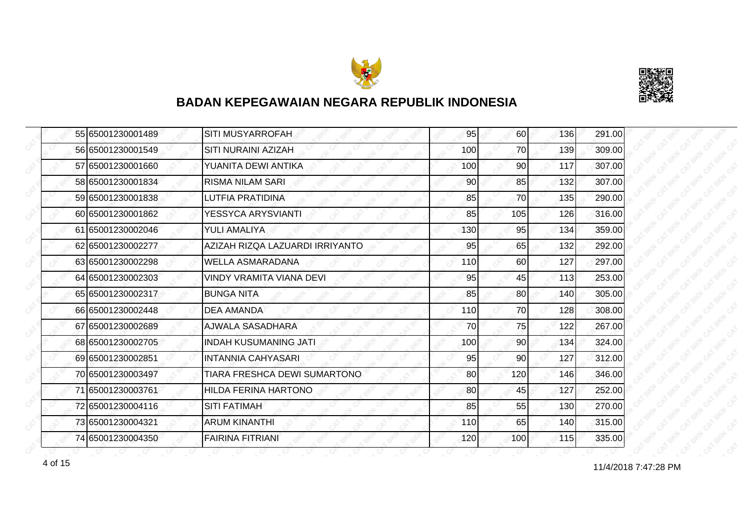



|  | 55 65001230001489 | SITI MUSYARROFAH                | 95  | 60              | 136 | 291.00 |
|--|-------------------|---------------------------------|-----|-----------------|-----|--------|
|  | 56 65001230001549 | SITI NURAINI AZIZAH             | 100 | 70              | 139 | 309.00 |
|  | 57 65001230001660 | YUANITA DEWI ANTIKA             | 100 | 90              | 117 | 307.00 |
|  | 58 65001230001834 | <b>RISMA NILAM SARI</b>         | 90  | 85              | 132 | 307.00 |
|  | 59 65001230001838 | LUTFIA PRATIDINA                | 85  | 70              | 135 | 290.00 |
|  | 60 65001230001862 | YESSYCA ARYSVIANTI              | 85  | 105             | 126 | 316.00 |
|  | 61 65001230002046 | YULI AMALIYA                    | 130 | 95              | 134 | 359.00 |
|  | 62 65001230002277 | AZIZAH RIZQA LAZUARDI IRRIYANTO | 95  | 65              | 132 | 292.00 |
|  | 63 65001230002298 | <b>WELLA ASMARADANA</b>         | 110 | 60              | 127 | 297.00 |
|  | 64 65001230002303 | <b>VINDY VRAMITA VIANA DEVI</b> | 95  | 45              | 113 | 253.00 |
|  | 65 65001230002317 | <b>BUNGA NITA</b>               | 85  | 80              | 140 | 305.00 |
|  | 66 65001230002448 | DEA AMANDA                      | 110 | 70              | 128 | 308.00 |
|  | 67 65001230002689 | <b>AJWALA SASADHARA</b>         | 70  | 75              | 122 | 267.00 |
|  | 68 65001230002705 | <b>INDAH KUSUMANING JATI</b>    | 100 | 90 <sub>0</sub> | 134 | 324.00 |
|  | 69 65001230002851 | <b>INTANNIA CAHYASARI</b>       | 95  | 90              | 127 | 312.00 |
|  | 70 65001230003497 | TIARA FRESHCA DEWI SUMARTONO    | 80  | 120             | 146 | 346.00 |
|  | 71 65001230003761 | <b>HILDA FERINA HARTONO</b>     | 80  | 45              | 127 | 252.00 |
|  | 72 65001230004116 | <b>SITI FATIMAH</b>             | 85  | 55              | 130 | 270.00 |
|  | 73 65001230004321 | <b>ARUM KINANTHI</b>            | 110 | 65              | 140 | 315.00 |
|  | 74 65001230004350 | <b>FAIRINA FITRIANI</b>         | 120 | 100             | 115 | 335.00 |

4 of 15 11/4/2018 7:47:28 PM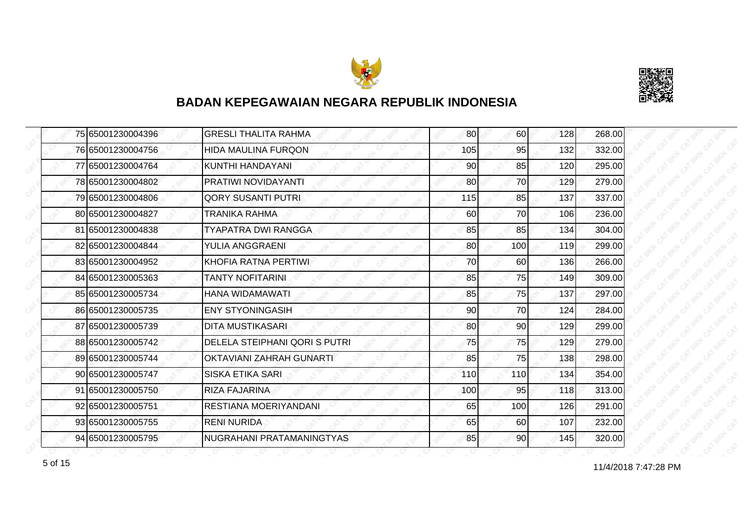



|  | 75 65001230004396 | <b>GRESLI THALITA RAHMA</b>   | 80  | 60              | 128 | 268.00 |
|--|-------------------|-------------------------------|-----|-----------------|-----|--------|
|  | 76 65001230004756 | <b>HIDA MAULINA FURQON</b>    | 105 | 95              | 132 | 332.00 |
|  | 77 65001230004764 | KUNTHI HANDAYANI              | 90  | 85              | 120 | 295.00 |
|  | 78 65001230004802 | PRATIWI NOVIDAYANTI           | 80  | 70              | 129 | 279.00 |
|  | 79 65001230004806 | <b>QORY SUSANTI PUTRI</b>     | 115 | 85              | 137 | 337.00 |
|  | 80 65001230004827 | TRANIKA RAHMA                 | 60  | 70              | 106 | 236.00 |
|  | 81 65001230004838 | <b>TYAPATRA DWI RANGGA</b>    | 85  | 85              | 134 | 304.00 |
|  | 82 65001230004844 | YULIA ANGGRAENI               | 80  | 100             | 119 | 299.00 |
|  | 83 65001230004952 | KHOFIA RATNA PERTIWI          | 70  | 60              | 136 | 266.00 |
|  | 84 65001230005363 | <b>TANTY NOFITARINI</b>       | 85  | 75              | 149 | 309.00 |
|  | 85 65001230005734 | HANA WIDAMAWATI               | 85  | 75              | 137 | 297.00 |
|  | 86 65001230005735 | <b>ENY STYONINGASIH</b>       | 90  | 70              | 124 | 284.00 |
|  | 87 65001230005739 | <b>DITA MUSTIKASARI</b>       | 80  | 90 <sub>0</sub> | 129 | 299.00 |
|  | 88 65001230005742 | DELELA STEIPHANI QORI S PUTRI | 75  | 75              | 129 | 279.00 |
|  | 89 65001230005744 | OKTAVIANI ZAHRAH GUNARTI      | 85  | 75              | 138 | 298.00 |
|  | 90 65001230005747 | <b>SISKA ETIKA SARI</b>       | 110 | 110             | 134 | 354.00 |
|  | 91 65001230005750 | <b>RIZA FAJARINA</b>          | 100 | 95              | 118 | 313.00 |
|  | 92 65001230005751 | RESTIANA MOERIYANDANI         | 65  | 100             | 126 | 291.00 |
|  | 93 65001230005755 | <b>RENI NURIDA</b>            | 65  | 60              | 107 | 232.00 |
|  | 94 65001230005795 | NUGRAHANI PRATAMANINGTYAS     | 85  | 90              | 145 | 320.00 |

f of 15 and 11/4/2018 7:47:28 PM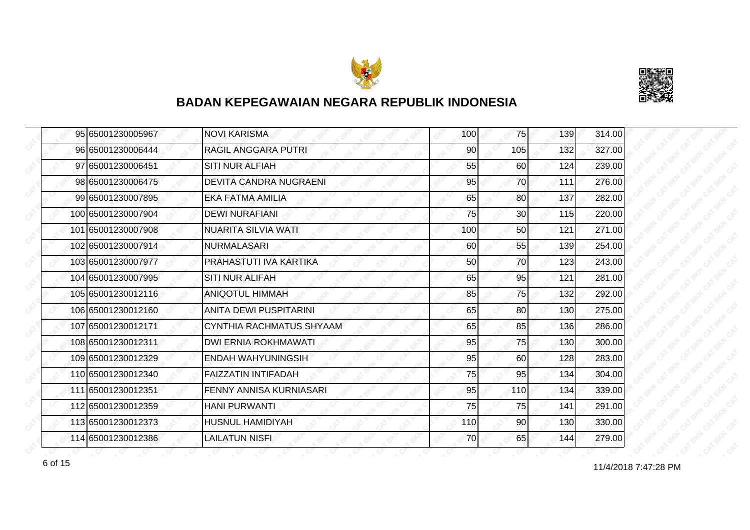



| 95 65001230005967  | <b>NOVI KARISMA</b>             | 100 | 75              | 139 | 314.00 |
|--------------------|---------------------------------|-----|-----------------|-----|--------|
| 96 65001230006444  | RAGIL ANGGARA PUTRI             | 90  | 105             | 132 | 327.00 |
| 97 65001230006451  | <b>SITI NUR ALFIAH</b>          | 55  | 60              | 124 | 239.00 |
| 98 65001230006475  | <b>DEVITA CANDRA NUGRAENI</b>   | 95  | 70              | 111 | 276.00 |
| 99 65001230007895  | EKA FATMA AMILIA                | 65  | 80              | 137 | 282.00 |
| 100 65001230007904 | <b>DEWI NURAFIANI</b>           | 75  | 30 <sup>°</sup> | 115 | 220.00 |
| 101 65001230007908 | <b>NUARITA SILVIA WATI</b>      | 100 | 50              | 121 | 271.00 |
| 102 65001230007914 | <b>NURMALASARI</b>              | 60  | 55              | 139 | 254.00 |
| 103 65001230007977 | PRAHASTUTI IVA KARTIKA          | 50  | 70              | 123 | 243.00 |
| 104 65001230007995 | <b>SITI NUR ALIFAH</b>          | 65  | 95              | 121 | 281.00 |
| 105 65001230012116 | <b>ANIQOTUL HIMMAH</b>          | 85  | 75              | 132 | 292.00 |
| 106 65001230012160 | ANITA DEWI PUSPITARINI          | 65  | 80              | 130 | 275.00 |
| 107 65001230012171 | <b>CYNTHIA RACHMATUS SHYAAM</b> | 65  | 85              | 136 | 286.00 |
| 108 65001230012311 | DWI ERNIA ROKHMAWATI            | 95  | 75              | 130 | 300.00 |
| 109 65001230012329 | ENDAH WAHYUNINGSIH              | 95  | 60              | 128 | 283.00 |
| 110 65001230012340 | FAIZZATIN INTIFADAH             | 75  | 95              | 134 | 304.00 |
| 111 65001230012351 | <b>FENNY ANNISA KURNIASARI</b>  | 95  | 110             | 134 | 339.00 |
| 112 65001230012359 | <b>HANI PURWANTI</b>            | 75  | 75              | 141 | 291.00 |
| 113 65001230012373 | <b>HUSNUL HAMIDIYAH</b>         | 110 | 90              | 130 | 330.00 |
| 114 65001230012386 | <b>LAILATUN NISFI</b>           | 70  | 65              | 144 | 279.00 |

11/4/2018 7:47:28 PM 6 of 15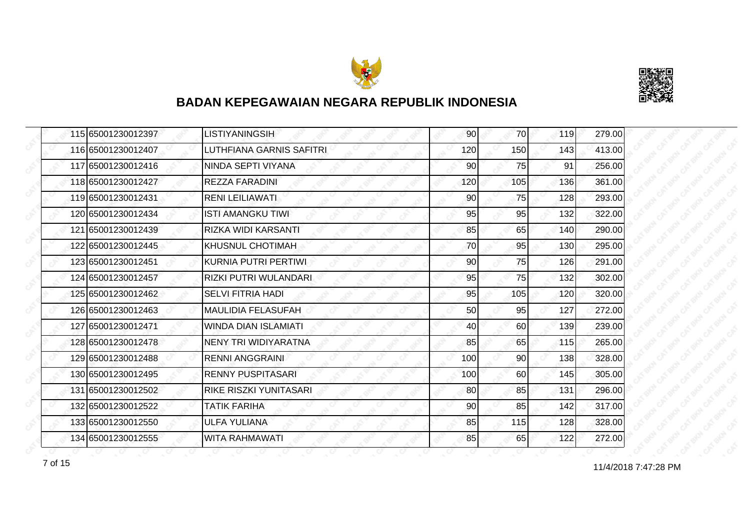



|  | 115 65001230012397 | <b>LISTIYANINGSIH</b>       | 90  | 70  | 119 | 279.00 |
|--|--------------------|-----------------------------|-----|-----|-----|--------|
|  | 116 65001230012407 | LUTHFIANA GARNIS SAFITRI    | 120 | 150 | 143 | 413.00 |
|  | 117 65001230012416 | NINDA SEPTI VIYANA          | 90  | 75  | 91  | 256.00 |
|  | 118 65001230012427 | <b>REZZA FARADINI</b>       | 120 | 105 | 136 | 361.00 |
|  | 119 65001230012431 | <b>RENI LEILIAWATI</b>      | 90  | 75  | 128 | 293.00 |
|  | 120 65001230012434 | ISTI AMANGKU TIWI           | 95  | 95  | 132 | 322.00 |
|  | 121 65001230012439 | RIZKA WIDI KARSANTI         | 85  | 65  | 140 | 290.00 |
|  | 122 65001230012445 | KHUSNUL CHOTIMAH            | 70  | 95  | 130 | 295.00 |
|  | 123 65001230012451 | KURNIA PUTRI PERTIWI        | 90  | 75  | 126 | 291.00 |
|  | 124 65001230012457 | RIZKI PUTRI WULANDARI       | 95  | 75  | 132 | 302.00 |
|  | 125 65001230012462 | <b>SELVI FITRIA HADI</b>    | 95  | 105 | 120 | 320.00 |
|  | 126 65001230012463 | <b>MAULIDIA FELASUFAH</b>   | 50  | 95  | 127 | 272.00 |
|  | 127 65001230012471 | <b>WINDA DIAN ISLAMIATI</b> | 40  | 60  | 139 | 239.00 |
|  | 128 65001230012478 | NENY TRI WIDIYARATNA        | 85  | 65  | 115 | 265.00 |
|  | 129 65001230012488 | <b>RENNI ANGGRAINI</b>      | 100 | 90  | 138 | 328.00 |
|  | 130 65001230012495 | <b>RENNY PUSPITASARI</b>    | 100 | 60  | 145 | 305.00 |
|  | 131 65001230012502 | RIKE RISZKI YUNITASARI      | 80  | 85  | 131 | 296.00 |
|  | 132 65001230012522 | TATIK FARIHA                | 90  | 85  | 142 | 317.00 |
|  | 133 65001230012550 | <b>ULFA YULIANA</b>         | 85  | 115 | 128 | 328.00 |
|  | 134 65001230012555 | <b>WITA RAHMAWATI</b>       | 85  | 65  | 122 | 272.00 |

11/4/2018 7:47:28 PM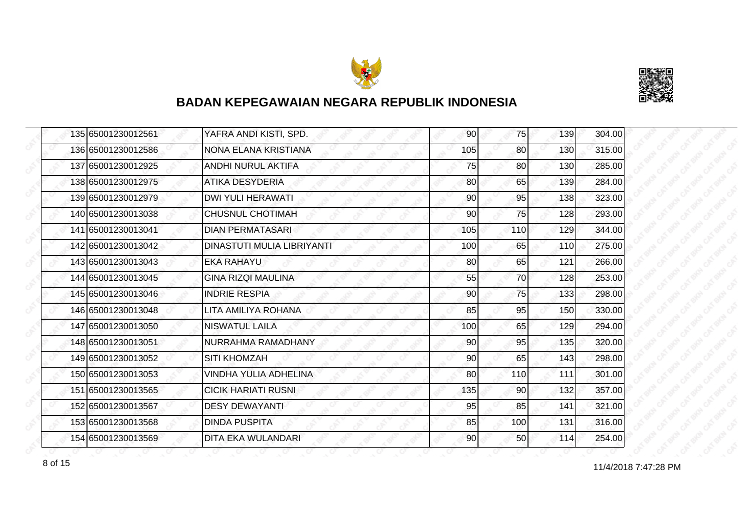



| 135 65001230012561 | YAFRA ANDI KISTI, SPD.     | 90  | 75  | 139 | 304.00 |
|--------------------|----------------------------|-----|-----|-----|--------|
| 136 65001230012586 | INONA ELANA KRISTIANA      | 105 | 80  | 130 | 315.00 |
| 137 65001230012925 | ANDHI NURUL AKTIFA         | 75  | 80  | 130 | 285.00 |
| 138 65001230012975 | <b>ATIKA DESYDERIA</b>     | 80  | 65  | 139 | 284.00 |
| 139 65001230012979 | <b>DWI YULI HERAWATI</b>   | 90  | 95  | 138 | 323.00 |
| 140 65001230013038 | <b>CHUSNUL CHOTIMAH</b>    | 90  | 75  | 128 | 293.00 |
| 141 65001230013041 | <b>DIAN PERMATASARI</b>    | 105 | 110 | 129 | 344.00 |
| 142 65001230013042 | DINASTUTI MULIA LIBRIYANTI | 100 | 65  | 110 | 275.00 |
| 143 65001230013043 | IEKA RAHAYU                | 80  | 65  | 121 | 266.00 |
| 144 65001230013045 | <b>GINA RIZQI MAULINA</b>  | 55  | 70  | 128 | 253.00 |
| 145 65001230013046 | <b>INDRIE RESPIA</b>       | 90  | 75  | 133 | 298.00 |
| 146 65001230013048 | LITA AMILIYA ROHANA        | 85  | 95  | 150 | 330.00 |
| 147 65001230013050 | <b>NISWATUL LAILA</b>      | 100 | 65  | 129 | 294.00 |
| 148 65001230013051 | NURRAHMA RAMADHANY         | 90  | 95  | 135 | 320.00 |
| 149 65001230013052 | <b>SITI KHOMZAH</b>        | 90  | 65  | 143 | 298.00 |
| 150 65001230013053 | VINDHA YULIA ADHELINA      | 80  | 110 | 111 | 301.00 |
| 151 65001230013565 | <b>CICIK HARIATI RUSNI</b> | 135 | 90  | 132 | 357.00 |
| 152 65001230013567 | <b>DESY DEWAYANTI</b>      | 95  | 85  | 141 | 321.00 |
| 153 65001230013568 | <b>DINDA PUSPITA</b>       | 85  | 100 | 131 | 316.00 |
| 154 65001230013569 | <b>DITA EKA WULANDARI</b>  | 90  | 50  | 114 | 254.00 |

11/4/2018 7:47:28 PM 8 of 15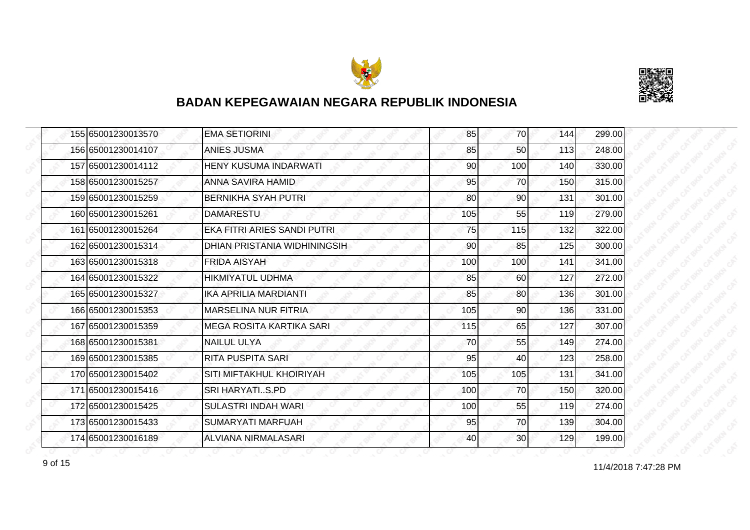



| 155 65001230013570 | <b>EMA SETIORINI</b>         | 85  | 70              | 144 | 299.00 |
|--------------------|------------------------------|-----|-----------------|-----|--------|
| 156 65001230014107 | <b>ANIES JUSMA</b>           | 85  | 50              | 113 | 248.00 |
| 157 65001230014112 | <b>HENY KUSUMA INDARWATI</b> | 90  | 100             | 140 | 330.00 |
| 158 65001230015257 | ANNA SAVIRA HAMID            | 95  | 70              | 150 | 315.00 |
| 159 65001230015259 | BERNIKHA SYAH PUTRI          | 80  | 90              | 131 | 301.00 |
| 160 65001230015261 | <b>DAMARESTU</b>             | 105 | 55              | 119 | 279.00 |
| 161 65001230015264 | EKA FITRI ARIES SANDI PUTRI  | 75  | 115             | 132 | 322.00 |
| 162 65001230015314 | DHIAN PRISTANIA WIDHININGSIH | 90  | 85              | 125 | 300.00 |
| 163 65001230015318 | <b>FRIDA AISYAH</b>          | 100 | 100             | 141 | 341.00 |
| 164 65001230015322 | <b>HIKMIYATUL UDHMA</b>      | 85  | 60              | 127 | 272.00 |
| 165 65001230015327 | <b>IKA APRILIA MARDIANTI</b> | 85  | 80              | 136 | 301.00 |
| 166 65001230015353 | <b>MARSELINA NUR FITRIA</b>  | 105 | 90              | 136 | 331.00 |
| 167 65001230015359 | IMEGA ROSITA KARTIKA SARI    | 115 | 65              | 127 | 307.00 |
| 168 65001230015381 | <b>NAILUL ULYA</b>           | 70  | 55              | 149 | 274.00 |
| 169 65001230015385 | <b>RITA PUSPITA SARI</b>     | 95  | 40              | 123 | 258.00 |
| 170 65001230015402 | SITI MIFTAKHUL KHOIRIYAH     | 105 | 105             | 131 | 341.00 |
| 171 65001230015416 | SRI HARYATIS.PD              | 100 | 70              | 150 | 320.00 |
| 172 65001230015425 | <b>SULASTRI INDAH WARI</b>   | 100 | 55              | 119 | 274.00 |
| 173 65001230015433 | <b>SUMARYATI MARFUAH</b>     | 95  | 70              | 139 | 304.00 |
| 174 65001230016189 | ALVIANA NIRMALASARI          | 40  | 30 <sub>0</sub> | 129 | 199.00 |

11/4/2018 7:47:28 PM 9 of 15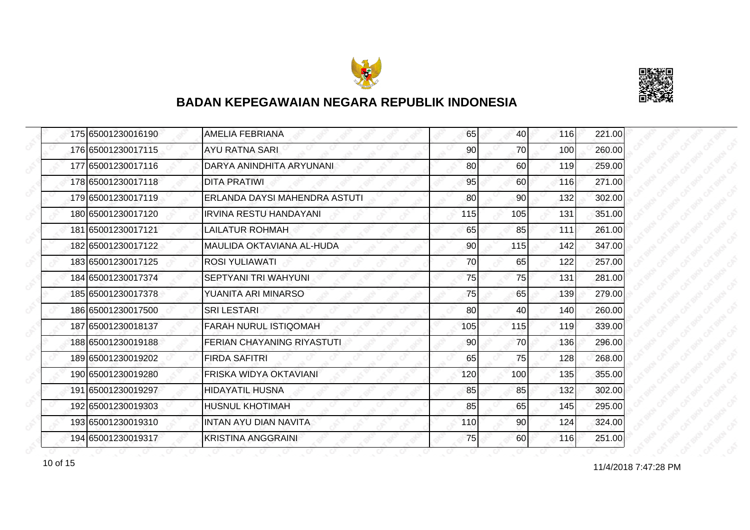



| 175 65001230016190 | <b>AMELIA FEBRIANA</b>        | 65  | 40              | 116 | 221.00 |
|--------------------|-------------------------------|-----|-----------------|-----|--------|
| 176 65001230017115 | <b>AYU RATNA SARI</b>         | 90  | 70              | 100 | 260.00 |
| 177 65001230017116 | DARYA ANINDHITA ARYUNANI      | 80  | 60              | 119 | 259.00 |
| 178 65001230017118 | <b>DITA PRATIWI</b>           | 95  | 60 <sup>1</sup> | 116 | 271.00 |
| 179 65001230017119 | ERLANDA DAYSI MAHENDRA ASTUTI | 80  | 90              | 132 | 302.00 |
| 180 65001230017120 | <b>IRVINA RESTU HANDAYANI</b> | 115 | 105             | 131 | 351.00 |
| 181 65001230017121 | <b>LAILATUR ROHMAH</b>        | 65  | 85              | 111 | 261.00 |
| 182 65001230017122 | MAULIDA OKTAVIANA AL-HUDA     | 90  | 115             | 142 | 347.00 |
| 183 65001230017125 | ROSI YULIAWATI                | 70  | 65              | 122 | 257.00 |
| 184 65001230017374 | SEPTYANI TRI WAHYUNI          | 75  | 75              | 131 | 281.00 |
| 185 65001230017378 | YUANITA ARI MINARSO           | 75  | 65              | 139 | 279.00 |
| 186 65001230017500 | <b>SRILESTARI</b>             | 80  | 40              | 140 | 260.00 |
| 187 65001230018137 | FARAH NURUL ISTIQOMAH         | 105 | 115             | 119 | 339.00 |
| 188 65001230019188 | FERIAN CHAYANING RIYASTUTI    | 90  | 70              | 136 | 296.00 |
| 189 65001230019202 | <b>FIRDA SAFITRI</b>          | 65  | 75              | 128 | 268.00 |
| 190 65001230019280 | FRISKA WIDYA OKTAVIANI        | 120 | 100             | 135 | 355.00 |
| 191 65001230019297 | <b>HIDAYATIL HUSNA</b>        | 85  | 85              | 132 | 302.00 |
| 192 65001230019303 | HUSNUL KHOTIMAH               | 85  | 65              | 145 | 295.00 |
| 193 65001230019310 | <b>INTAN AYU DIAN NAVITA</b>  | 110 | 90              | 124 | 324.00 |
| 194 65001230019317 | <b>KRISTINA ANGGRAINI</b>     | 75  | <b>60</b>       | 116 | 251.00 |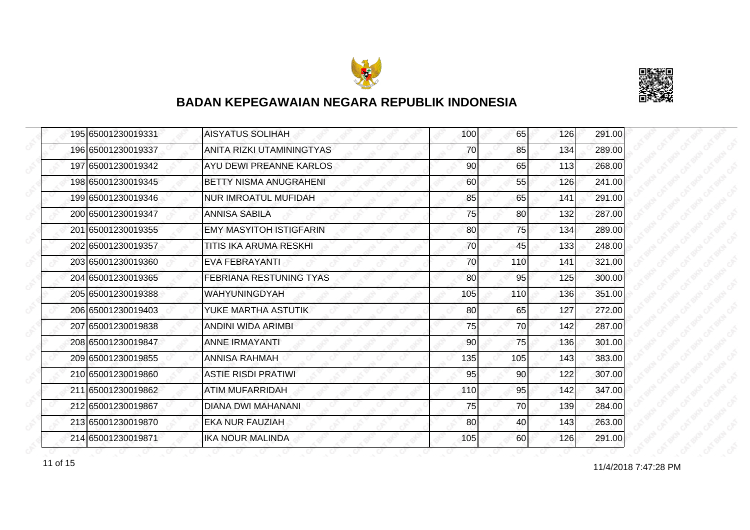



| 195 65001230019331 | <b>AISYATUS SOLIHAH</b>        | 100 | 65              | 126 | 291.00 |
|--------------------|--------------------------------|-----|-----------------|-----|--------|
| 196 65001230019337 | ANITA RIZKI UTAMININGTYAS      | 70  | 85              | 134 | 289.00 |
| 197 65001230019342 | AYU DEWI PREANNE KARLOS        | 90  | 65              | 113 | 268.00 |
| 198 65001230019345 | BETTY NISMA ANUGRAHENI         | 60  | 55              | 126 | 241.00 |
| 199 65001230019346 | <b>NUR IMROATUL MUFIDAH</b>    | 85  | 65              | 141 | 291.00 |
| 200 65001230019347 | ANNISA SABILA                  | 75  | 80              | 132 | 287.00 |
| 201 65001230019355 | <b>EMY MASYITOH ISTIGFARIN</b> | 80  | 75I             | 134 | 289.00 |
| 202 65001230019357 | TITIS IKA ARUMA RESKHI         | 70  | 45              | 133 | 248.00 |
| 203 65001230019360 | <b>EVA FEBRAYANTI</b>          | 70  | 110             | 141 | 321.00 |
| 204 65001230019365 | <b>FEBRIANA RESTUNING TYAS</b> | 80  | 95              | 125 | 300.00 |
| 205 65001230019388 | <b>WAHYUNINGDYAH</b>           | 105 | 110             | 136 | 351.00 |
| 206 65001230019403 | YUKE MARTHA ASTUTIK            | 80  | 65              | 127 | 272.00 |
| 207 65001230019838 | ANDINI WIDA ARIMBI             | 75  | 70              | 142 | 287.00 |
| 208 65001230019847 | <b>ANNE IRMAYANTI</b>          | 90  | 75              | 136 | 301.00 |
| 209 65001230019855 | <b>ANNISA RAHMAH</b>           | 135 | 105             | 143 | 383.00 |
| 210 65001230019860 | <b>ASTIE RISDI PRATIWI</b>     | 95  | 90 <sub>0</sub> | 122 | 307.00 |
| 211 65001230019862 | ATIM MUFARRIDAH                | 110 | 95              | 142 | 347.00 |
| 212 65001230019867 | <b>DIANA DWI MAHANANI</b>      | 75  | 70              | 139 | 284.00 |
| 213 65001230019870 | <b>EKA NUR FAUZIAH</b>         | 80  | 40              | 143 | 263.00 |
| 214 65001230019871 | <b>IKA NOUR MALINDA</b>        | 105 | 60              | 126 | 291.00 |

11 of 15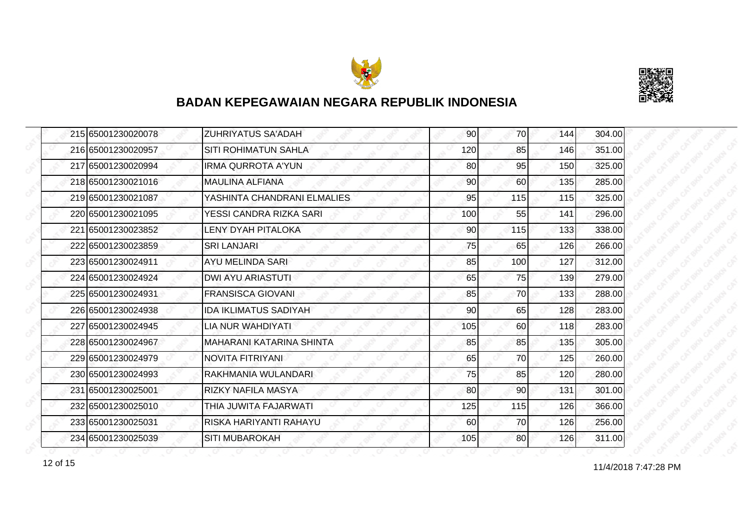



| 215 65001230020078 | <b>ZUHRIYATUS SA'ADAH</b>   | 90  | 70  | 144 | 304.00 |
|--------------------|-----------------------------|-----|-----|-----|--------|
| 216 65001230020957 | SITI ROHIMATUN SAHLA        | 120 | 85  | 146 | 351.00 |
| 217 65001230020994 | <b>IRMA QURROTA A'YUN</b>   | 80  | 95  | 150 | 325.00 |
| 218 65001230021016 | <b>MAULINA ALFIANA</b>      | 90  | 60  | 135 | 285.00 |
| 219 65001230021087 | YASHINTA CHANDRANI ELMALIES | 95  | 115 | 115 | 325.00 |
| 220 65001230021095 | YESSI CANDRA RIZKA SARI     | 100 | 55  | 141 | 296.00 |
| 221 65001230023852 | LENY DYAH PITALOKA          | 90  | 115 | 133 | 338.00 |
| 222165001230023859 | <b>SRI LANJARI</b>          | 75  | 65  | 126 | 266.00 |
| 223165001230024911 | AYU MELINDA SARI            | 85  | 100 | 127 | 312.00 |
| 224 65001230024924 | <b>DWI AYU ARIASTUTI</b>    | 65  | 75  | 139 | 279.00 |
| 225 65001230024931 | <b>FRANSISCA GIOVANI</b>    | 85  | 70  | 133 | 288.00 |
| 226165001230024938 | IDA IKLIMATUS SADIYAH       | 90  | 65  | 128 | 283.00 |
| 227 65001230024945 | LIA NUR WAHDIYATI           | 105 | 60  | 118 | 283.00 |
| 228 65001230024967 | MAHARANI KATARINA SHINTA    | 85  | 85  | 135 | 305.00 |
| 229 65001230024979 | NOVITA FITRIYANI            | 65  | 70  | 125 | 260.00 |
| 230 65001230024993 | RAKHMANIA WULANDARI         | 75  | 85  | 120 | 280.00 |
| 231 65001230025001 | RIZKY NAFILA MASYA          | 80  | 90  | 131 | 301.00 |
| 232 65001230025010 | THIA JUWITA FAJARWATI       | 125 | 115 | 126 | 366.00 |
| 233 65001230025031 | RISKA HARIYANTI RAHAYU      | 60  | 70  | 126 | 256.00 |
| 234 65001230025039 | <b>SITI MUBAROKAH</b>       | 105 | 80  | 126 | 311.00 |

12 of 15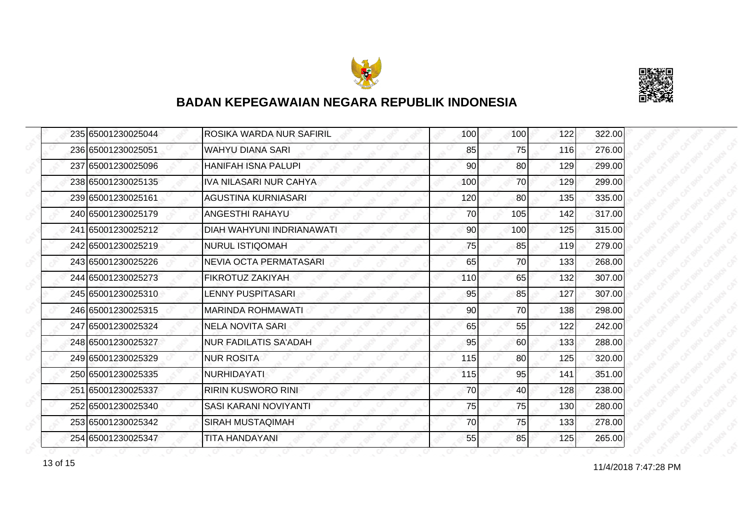



| 235 65001230025044 | ROSIKA WARDA NUR SAFIRIL      | 100 | 100 <sup>1</sup> | 122 | 322.00 |
|--------------------|-------------------------------|-----|------------------|-----|--------|
| 236 65001230025051 | <b>WAHYU DIANA SARI</b>       | 85  | 75               | 116 | 276.00 |
| 237 65001230025096 | <b>HANIFAH ISNA PALUPI</b>    | 90  | 80               | 129 | 299.00 |
| 238 65001230025135 | <b>IVA NILASARI NUR CAHYA</b> | 100 | 70               | 129 | 299.00 |
| 239 65001230025161 | AGUSTINA KURNIASARI           | 120 | 80               | 135 | 335.00 |
| 240 65001230025179 | ANGESTHI RAHAYU               | 70  | 105              | 142 | 317.00 |
| 241 65001230025212 | DIAH WAHYUNI INDRIANAWATI     | 90  | 100              | 125 | 315.00 |
| 242 65001230025219 | <b>NURUL ISTIQOMAH</b>        | 75  | 85               | 119 | 279.00 |
| 243 65001230025226 | NEVIA OCTA PERMATASARI        | 65  | 70               | 133 | 268.00 |
| 244 65001230025273 | FIKROTUZ ZAKIYAH              | 110 | 65               | 132 | 307.00 |
| 245 65001230025310 | <b>LENNY PUSPITASARI</b>      | 95  | 85               | 127 | 307.00 |
| 246 65001230025315 | <b>MARINDA ROHMAWATI</b>      | 90  | 70               | 138 | 298.00 |
| 247 65001230025324 | <b>NELA NOVITA SARI</b>       | 65  | 55               | 122 | 242.00 |
| 248 65001230025327 | <b>NUR FADILATIS SA'ADAH</b>  | 95  | 60               | 133 | 288.00 |
| 249 65001230025329 | <b>NUR ROSITA</b>             | 115 | 80               | 125 | 320.00 |
| 250 65001230025335 | <b>NURHIDAYATI</b>            | 115 | 95               | 141 | 351.00 |
| 251 65001230025337 | <b>RIRIN KUSWORO RINI</b>     | 70  | 40               | 128 | 238.00 |
| 252165001230025340 | SASI KARANI NOVIYANTI         | 75  | 75               | 130 | 280.00 |
| 253 65001230025342 | <b>SIRAH MUSTAQIMAH</b>       | 70  | 75               | 133 | 278.00 |
| 254 65001230025347 | <b>TITA HANDAYANI</b>         | 55  | 85               | 125 | 265.00 |

13 of 15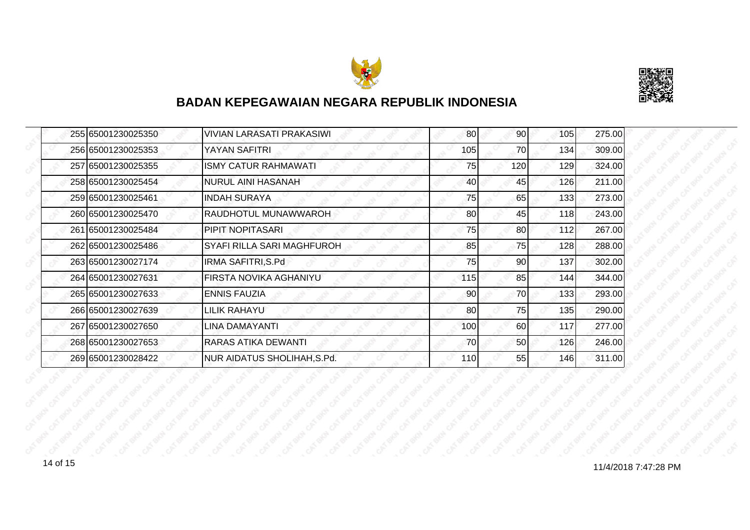



| <b>VIVIAN LARASATI PRAKASIWI</b>                                                                                                                                                                                                                                                                                                       | 80  | 90  | 105 | 275.00 |
|----------------------------------------------------------------------------------------------------------------------------------------------------------------------------------------------------------------------------------------------------------------------------------------------------------------------------------------|-----|-----|-----|--------|
| YAYAN SAFITRI                                                                                                                                                                                                                                                                                                                          | 105 | 70  | 134 | 309.00 |
| <b>ISMY CATUR RAHMAWATI</b>                                                                                                                                                                                                                                                                                                            | 75  | 120 | 129 | 324.00 |
| <b>NURUL AINI HASANAH</b>                                                                                                                                                                                                                                                                                                              | 40  | 45  | 126 | 211.00 |
| <b>INDAH SURAYA</b>                                                                                                                                                                                                                                                                                                                    | 75  | 65  | 133 | 273.00 |
| RAUDHOTUL MUNAWWAROH                                                                                                                                                                                                                                                                                                                   | 80  | 45  | 118 | 243.00 |
| <b>PIPIT NOPITASARI</b>                                                                                                                                                                                                                                                                                                                | 75  | 80I | 112 | 267.00 |
| SYAFI RILLA SARI MAGHFUROH                                                                                                                                                                                                                                                                                                             | 85  | 75  | 128 | 288.00 |
| IRMA SAFITRI, S.Pd                                                                                                                                                                                                                                                                                                                     | 75  | 90  | 137 | 302.00 |
| FIRSTA NOVIKA AGHANIYU                                                                                                                                                                                                                                                                                                                 | 115 | 85  | 144 | 344.00 |
| <b>ENNIS FAUZIA</b>                                                                                                                                                                                                                                                                                                                    | 90  | 70  | 133 | 293.00 |
| LILIK RAHAYU                                                                                                                                                                                                                                                                                                                           | 80  | 75  | 135 | 290.00 |
| LINA DAMAYANTI                                                                                                                                                                                                                                                                                                                         | 100 | 60  | 117 | 277.00 |
| <b>RARAS ATIKA DEWANTI</b>                                                                                                                                                                                                                                                                                                             | 70  | 50  | 126 | 246.00 |
| <b>NUR AIDATUS SHOLIHAH, S.Pd.</b>                                                                                                                                                                                                                                                                                                     | 110 | 55  | 146 | 311.00 |
| 255 65001230025350<br>256 65001230025353<br>257 65001230025355<br>258165001230025454<br>259 65001230025461<br>260 65001230025470<br>261 65001230025484<br>262 65001230025486<br>263 65001230027174<br>264 65001230027631<br>265 65001230027633<br>266 65001230027639<br>267 65001230027650<br>268 65001230027653<br>269 65001230028422 |     |     |     |        |